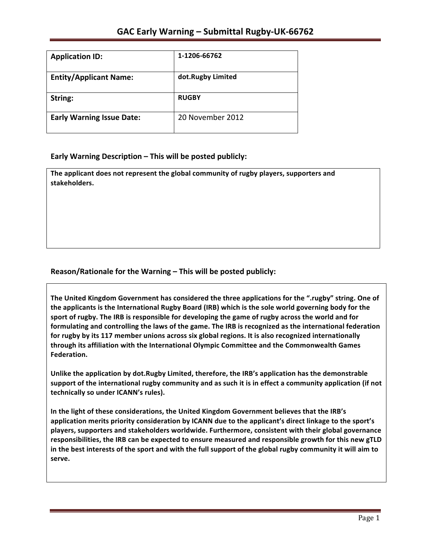| <b>Application ID:</b>           | 1-1206-66762      |
|----------------------------------|-------------------|
| <b>Entity/Applicant Name:</b>    | dot.Rugby Limited |
| String:                          | <b>RUGBY</b>      |
| <b>Early Warning Issue Date:</b> | 20 November 2012  |

#### **Early Warning Description – This will be posted publicly:**

The applicant does not represent the global community of rugby players, supporters and **stakeholders.**

### Reason/Rationale for the Warning – This will be posted publicly:

The United Kingdom Government has considered the three applications for the ".rugby" string. One of **the applicants is the International Rugby Board (IRB) which is the sole world governing body for the** sport of rugby. The IRB is responsible for developing the game of rugby across the world and for **formulating and controlling the laws of the game. The IRB is recognized as the international federation** for rugby by its 117 member unions across six global regions. It is also recognized internationally **through its affiliation with the International Olympic Committee and the Commonwealth Games Federation.**

Unlike the application by dot.Rugby Limited, therefore, the IRB's application has the demonstrable support of the international rugby community and as such it is in effect a community application (if not technically so under ICANN's rules).

In the light of these considerations, the United Kingdom Government believes that the IRB's application merits priority consideration by ICANN due to the applicant's direct linkage to the sport's **players, supporters and stakeholders worldwide. Furthermore, consistent with their global governance**  responsibilities, the IRB can be expected to ensure measured and responsible growth for this new gTLD in the best interests of the sport and with the full support of the global rugby community it will aim to **serve.**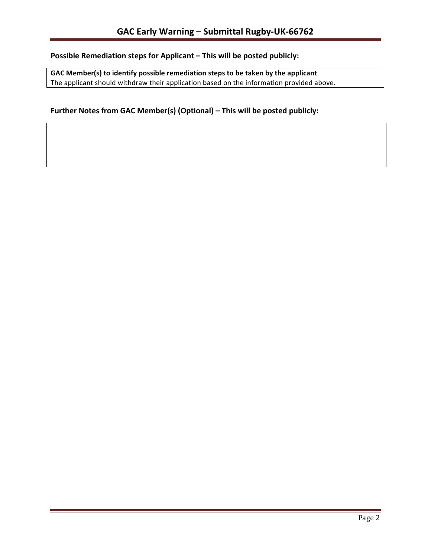# **Possible Remediation steps for Applicant – This will be posted publicly:**

GAC Member(s) to identify possible remediation steps to be taken by the applicant The applicant should withdraw their application based on the information provided above.

### Further Notes from GAC Member(s) (Optional) – This will be posted publicly: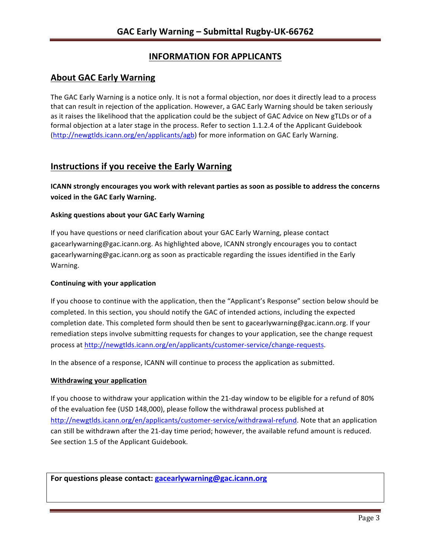# **INFORMATION FOR APPLICANTS**

### **About GAC Early Warning**

The GAC Early Warning is a notice only. It is not a formal objection, nor does it directly lead to a process that can result in rejection of the application. However, a GAC Early Warning should be taken seriously as it raises the likelihood that the application could be the subject of GAC Advice on New gTLDs or of a formal objection at a later stage in the process. Refer to section 1.1.2.4 of the Applicant Guidebook (http://newgtlds.icann.org/en/applicants/agb) for more information on GAC Early Warning.

## **Instructions if you receive the Early Warning**

**ICANN** strongly encourages you work with relevant parties as soon as possible to address the concerns **voiced in the GAC Early Warning.** 

#### **Asking questions about your GAC Early Warning**

If you have questions or need clarification about your GAC Early Warning, please contact gacearlywarning@gac.icann.org. As highlighted above, ICANN strongly encourages you to contact gacearlywarning@gac.icann.org as soon as practicable regarding the issues identified in the Early Warning. 

#### **Continuing with your application**

If you choose to continue with the application, then the "Applicant's Response" section below should be completed. In this section, you should notify the GAC of intended actions, including the expected completion date. This completed form should then be sent to gacearlywarning@gac.icann.org. If your remediation steps involve submitting requests for changes to your application, see the change request process at http://newgtlds.icann.org/en/applicants/customer-service/change-requests.

In the absence of a response, ICANN will continue to process the application as submitted.

#### **Withdrawing your application**

If you choose to withdraw your application within the 21-day window to be eligible for a refund of 80% of the evaluation fee (USD 148,000), please follow the withdrawal process published at http://newgtlds.icann.org/en/applicants/customer-service/withdrawal-refund. Note that an application can still be withdrawn after the 21-day time period; however, the available refund amount is reduced. See section 1.5 of the Applicant Guidebook.

For questions please contact: gacearlywarning@gac.icann.org